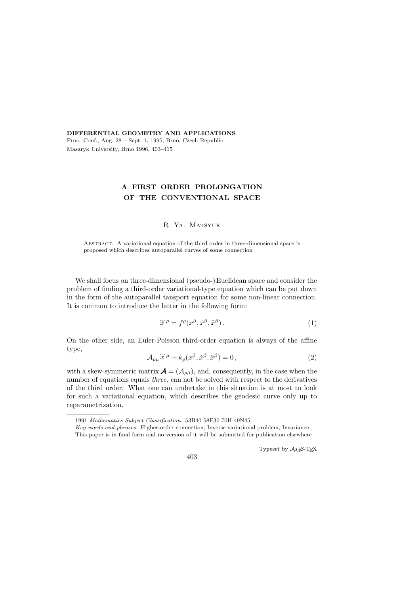DIFFERENTIAL GEOMETRY AND APPLICATIONS Proc. Conf., Aug. 28 – Sept. 1, 1995, Brno, Czech Republic Masaryk University, Brno 1996, 403–415

# A FIRST ORDER PROLONGATION OF THE CONVENTIONAL SPACE

# R. Ya. Matsyuk

Abstract. A variational equation of the third order in three-dimensional space is proposed which describes autoparallel curves of some connection

We shall focus on three-dimensional (pseudo-)Euclidean space and consider the problem of finding a third-order variational-type equation which can be put down in the form of the autoparallel tansport equation for some non-linear connection. It is common to introduce the latter in the following form:

$$
\dddot{x}^{\rho} = f^{\rho}(x^{\beta}, \dot{x}^{\beta}, \ddot{x}^{\beta}). \tag{1}
$$

On the other side, an Euler-Poisson third-order equation is always of the affine type,

$$
\mathcal{A}_{\rho\mu}\ddot{x}^{\mu} + k_{\rho}(x^{\beta}, \dot{x}^{\beta}, \ddot{x}^{\beta}) = 0, \qquad (2)
$$

with a skew-symmetric matrix  $\mathbf{A} = (A_{\rho\beta})$ , and, consequently, in the case when the number of equations equals three, can not be solved with respect to the derivatives of the third order. What one can undertake in this situation is at most to look for such a variational equation, which describes the geodesic curve only up to reparametrization.

Typeset by  $\mathcal{A}\mathcal{M}$ S-TEX

<sup>1991</sup> Mathematics Subject Classification. 53B40 58E30 70H 49N45.

Key words and phrases. Higher-order connection, Inverse variational problem, Invariance.

This paper is in final form and no version of it will be submitted for publication elsewhere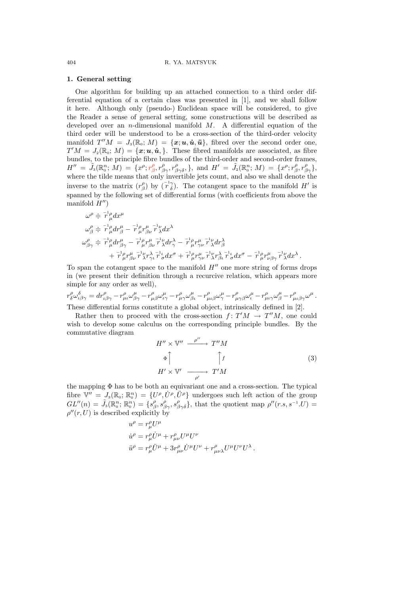## 1. General setting

One algorithm for building up an attached connection to a third order differential equation of a certain class was presented in [1], and we shall follow it here. Although only (pseudo-) Euclidean space will be considered, to give the Reader a sense of general setting, some constructions will be described as developed over an *n*-dimensional manifold  $M$ . A differential equation of the third order will be understood to be a cross-section of the third-order velocity manifold  $T''M = J_3(\mathbb{R}_0; M) = {\boldsymbol{x}; \boldsymbol{u}, \boldsymbol{\dot{u}}, \boldsymbol{\ddot{u}}},$  fibred over the second order one,  $T'M = J_2(\mathbb{R}_0; M) = {\boldsymbol{\lbrace x; u, u, \cdot \rbrace}}.$  These fibred manifolds are associated, as fibre bundles, to the principle fibre bundles of the third-order and second-order frames,  $H''\ =\ \widetilde{J}_3(\mathbb{R}^n_0;\,M)\ =\ \{x^\rho; r^\rho_{\beta}, r^\rho_{\beta\gamma}, r^\rho_{\beta\gamma\delta}, \}, \ \text{and}\ \ H'\ =\ \widetilde{J}_2(\mathbb{R}^n_0;\,M)\ =\ \{x^\rho; r^\rho_{\beta}, r^\rho_{\beta\gamma}\},$ where the tilde means that only invertible jets count, and also we shall denote the inverse to the matrix  $(r^{\rho}_{\beta})$  by  $({}^{\tau^1\gamma}_{\delta})$ . The cotangent space to the manifold H' is spanned by the following set of differential forms (with coefficients from above the manifold  $H''$ )

$$
\begin{split} \omega^\rho &\doteq\overline{r}^1{}_\mu^{\rho}dx^\mu\\ \omega^\rho_\beta &\doteq\overline{r}^1{}_\mu^{\rho}dr^\mu_\beta-\overline{r}^1{}_\mu r^\mu_{\beta\nu}\overline{r}^1_{\ \lambda}dx^\lambda\\ \omega^\rho_{\beta\gamma} &\doteq\overline{r}^1{}_\mu^{\rho}dr^\mu_{\beta\gamma}-\overline{r}^1{}_\mu^{\rho}r^\mu_{\beta\nu}\overline{r}^1_{\ \lambda}dr^\lambda_\gamma-\overline{r}^1{}_\mu^{\rho}r^\mu_{\gamma\nu}\overline{r}^1_{\ \lambda}dr^\lambda_\beta\\ &\qquad\qquad +\overline{r}^1{}_\mu^{\rho}r^\mu_{\beta\nu}\overline{r}^1_{\ \lambda}r^\lambda_{\gamma\iota}\overline{r}^1_{\ \sigma}dx^\sigma+\overline{r}^1{}_\mu^{\rho}r^\mu_{\gamma\nu}\overline{r}^1_{\ \lambda}r^\lambda_{\beta\iota}\overline{r}^1_{\ \sigma}dx^\sigma-\overline{r}^1{}_\mu^{\rho}r^\mu_{\nu\beta\gamma}\overline{r}^1_{\ \lambda}dx^\lambda\,. \end{split}
$$

To span the cotangent space to the manifold  $H''$  one more string of forms drops in (we present their definition through a recurcive relation, which appears more simple for any order as well),

 $r^{\rho}_{\delta}\omega^{\delta}_{\iota\beta\gamma} = dr^{\rho}_{\mu\iota}\omega^{\mu}_{\beta\gamma} - r^{\rho}_{\mu\beta}\omega^{\mu}_{\iota\gamma} - r^{\rho}_{\mu\gamma}\omega^{\mu}_{\beta\iota} - r^{\rho}_{\mu\iota\beta}\omega^{\mu}_{\gamma} - r^{\rho}_{\mu\gamma\beta}\omega^{\mu}_{\iota} - r^{\rho}_{\mu\iota\gamma}\omega^{\mu}_{\beta} - r^{\rho}_{\mu\iota\beta\gamma}\omega^{\mu} \, .$ These differential forms constitute a global object, intrinsically defined in [2].

Rather then to proceed with the cross-section  $f: T'M \to T''M$ , one could wish to develop some calculus on the corresponding principle bundles. By the commutative diagram

$$
H'' \times \mathbb{V}'' \xrightarrow{\rho''} T''M
$$
  
\n
$$
\Phi \uparrow \qquad \qquad \uparrow f
$$
  
\n
$$
H' \times \mathbb{V}' \xrightarrow{\rho'} T'M
$$
 (3)

the mapping Φ has to be both an equivariant one and a cross-section. The typical fibre  $\mathbb{V}'' = J_3(\mathbb{R}_0; \mathbb{R}_0^n) = \{U^{\rho}, U^{\rho}, U^{\rho}\}\$ undergoes such left action of the group  $GL''(n) = \tilde{J}_3(\mathbb{R}_0^n; \mathbb{R}_0^n) = \{s_\beta^{\rho}, s_{\beta\gamma}^{\rho}, s_{\beta\gamma\delta}^{\rho}\},\$  that the quotient map  $\rho''(r,s,s^{-1}.U) =$  $\rho''(r,U)$  is described explicitly by

$$
\begin{split} u^\rho&=r_\mu^\rho U^\mu\\ \dot u^\rho&=r_\mu^\rho \dot U^\mu+r_{\mu\nu}^\rho U^\mu U^\nu\\ \ddot u^\rho&=r_\mu^\rho \ddot U^\mu+3r_{\mu\nu}^\rho \dot U^\mu U^\nu+r_{\mu\nu\lambda}^\rho U^\mu U^\nu U^\lambda\,. \end{split}
$$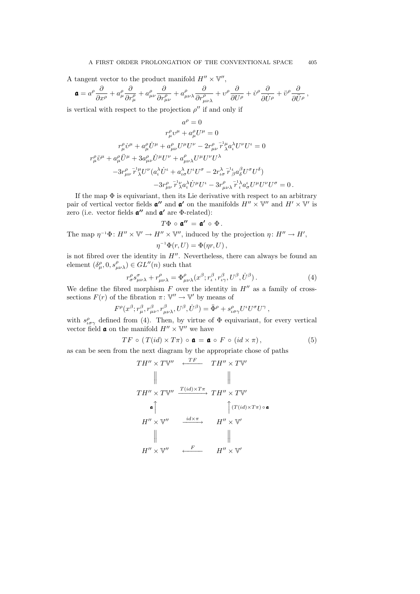A tangent vector to the product manifold  $H'' \times \mathbb{V}''$ ,

$$
\mathbf{a} = a^{\rho} \frac{\partial}{\partial x^{\rho}} + a^{\rho}_{\mu} \frac{\partial}{\partial r^{\rho}_{\mu}} + a^{\rho}_{\mu\nu} \frac{\partial}{\partial r^{\rho}_{\mu\nu}} + a^{\rho}_{\mu\nu\lambda} \frac{\partial}{\partial r^{\rho}_{\mu\nu\lambda}} + v^{\rho} \frac{\partial}{\partial U^{\rho}} + \dot{v}^{\rho} \frac{\partial}{\partial \dot{U}^{\rho}} + \ddot{v}^{\rho} \frac{\partial}{\partial \ddot{U}^{\rho}} ,
$$

is vertical with respect to the projection  $\rho''$  if and only if

$$
\label{eq:2.1} \begin{split} a^\rho=0\\ r_\mu^\rho v^\mu+a_\mu^\rho U^\mu=0\\ r_\mu^\rho \dot v^\mu+a_\mu^\rho \dot U^\mu+a_{\mu\nu}^\rho U^\mu U^\nu-2 r_{\mu\nu}^\rho \, \bar{r}_\lambda^\mu a_\iota^\lambda U^\nu U^\iota=0\\ r_\mu^\rho \ddot v^\mu+a_\mu^\rho \ddot U^\mu+3 a_{\mu\nu}^\rho \dot U^\mu U^\nu+a_{\mu\nu\lambda}^\rho U^\mu U^\nu V^\lambda\\ -3 r_{\mu\nu}^\rho \, \bar{r}_\lambda^\mu U^\nu(a_\iota^\lambda \dot U^\iota+a_{\iota\sigma}^\lambda U^\iota U^\sigma-2 r_{\iota\sigma}^\lambda \, \bar{r}_\beta^\mu a_\delta^\beta U^\sigma U^\delta)\\ -3 r_{\mu\nu}^\rho \, \bar{r}_\lambda^\nu a_\iota^\lambda \dot U^\mu U^\iota-3 r_{\mu\nu\lambda}^\rho \, \bar{r}_\iota^\lambda a_\sigma^\iota U^\mu U^\nu U^\sigma=0\,. \end{split}
$$

If the map  $\Phi$  is equivariant, then its Lie derivative with respect to an arbitrary pair of vertical vector fields  $\mathbf{a}''$  and  $\mathbf{a}'$  on the manifolds  $H'' \times \mathbb{V}''$  and  $H' \times \mathbb{V}'$  is zero (i.e. vector fields  $\mathfrak{a}''$  and  $\mathfrak{a}'$  are  $\Phi$ -related):

$$
T\Phi\,\circ\,\mathfrak{a}''\,=\,\mathfrak{a}'\,\circ\,\Phi\,.
$$

The map  $\eta^{-1}\Phi: H'' \times \mathbb{V}' \to H'' \times \mathbb{V}'$ , induced by the projection  $\eta: H'' \to H'$ ,  $\eta^{-1}\Phi(r,U)=\Phi(\eta r,U),$ 

is not fibred over the identity in  $H''$ . Nevertheless, there can always be found an element  $(\delta_{\mu}^{\rho}, 0, s_{\mu\nu\lambda}^{\rho}) \in GL''(n)$  such that

$$
r^{\rho}_{\sigma} s^{\sigma}_{\mu\nu\lambda} + r^{\rho}_{\mu\nu\lambda} = \Phi^{\rho}_{\mu\nu\lambda}(x^{\beta}; r^{\beta}_{\iota}, r^{\beta}_{\nu\gamma}, U^{\beta}, U^{\beta}). \tag{4}
$$

We define the fibred morphism  $F$  over the identity in  $H''$  as a family of crosssections  $F(r)$  of the fibration  $\pi: \mathbb{V}'' \to \mathbb{V}'$  by means of

$$
F^{\rho}(x^{\beta};r^{\beta}_{\mu},r^{\beta}_{\mu\nu},r^{\beta}_{\mu\nu\lambda},U^{\beta},\dot{U}^{\beta}) = \ddot{\Phi}^{\rho} + s^{\rho}_{\iota\sigma\gamma}U^{\iota}U^{\sigma}U^{\gamma},
$$

with  $s^{\rho}_{\iota\sigma\gamma}$  defined from (4). Then, by virtue of  $\Phi$  equivariant, for every vertical vector field **a** on the manifold  $H'' \times \mathbb{V}''$  we have

$$
TF \circ (T(id) \times T\pi) \circ \mathbf{a} = \mathbf{a} \circ F \circ (id \times \pi), \tag{5}
$$

as can be seen from the next diagram by the appropriate chose of paths

$$
TH'' \times T\mathbb{V}'' \xrightarrow{TF} TH'' \times T\mathbb{V}'
$$
\n
$$
\parallel \qquad \qquad \parallel
$$
\n
$$
TH'' \times T\mathbb{V}'' \xrightarrow{T(id) \times T\pi} TH'' \times T\mathbb{V}'
$$
\n
$$
\mathbf{a} \uparrow \qquad \qquad \uparrow (T(id) \times T\pi) \circ \mathbf{a}
$$
\n
$$
H'' \times \mathbb{V}'' \xrightarrow{i d \times \pi} H'' \times \mathbb{V}'
$$
\n
$$
\parallel \qquad \qquad \parallel
$$
\n
$$
H'' \times \mathbb{V}'' \xrightarrow{F} H'' \times \mathbb{V}'
$$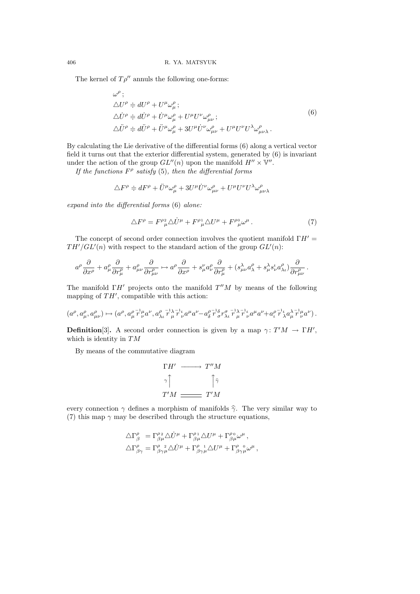The kernel of  $T\rho^{\prime\prime}$  annuls the following one-forms:

ρ

$$
\begin{aligned}\n\omega^{\rho} &\vdots \\
\Delta U^{\rho} &\doteq dU^{\rho} + U^{\mu}\omega_{\mu}^{\rho} \\
\Delta \dot{U}^{\rho} &\doteq d\dot{U}^{\rho} + \dot{U}^{\mu}\omega_{\mu}^{\rho} + U^{\mu}U^{\nu}\omega_{\mu\nu}^{\rho} \\
\Delta \ddot{U}^{\rho} &\doteq d\ddot{U}^{\rho} + \ddot{U}^{\mu}\omega_{\mu}^{\rho} + 3U^{\mu}\dot{U}^{\nu}\omega_{\mu\nu}^{\rho} + U^{\mu}U^{\nu}U^{\lambda}\omega_{\mu\nu\lambda}^{\rho}.\n\end{aligned} \tag{6}
$$

By calculating the Lie derivative of the differential forms (6) along a vertical vector field it turns out that the exterior differential system, generated by (6) is invariant under the action of the group  $GL''(n)$  upon the manifold  $H'' \times \mathbb{V}''$ .

If the functions  $F^{\rho}$  satisfy (5), then the differential forms

$$
\triangle F^{\rho} \doteqdot dF^{\rho} + \ddot{U}^{\mu}\omega_{\mu}^{\rho} + 3U^{\mu}\dot{U}^{\nu}\omega_{\mu\nu}^{\rho} + U^{\mu}U^{\nu}U^{\lambda}\omega_{\mu\nu\lambda}^{\rho}
$$

expand into the differential forms (6) alone:

$$
\Delta F^{\rho} = F^{\rho 2}_{\mu} \Delta \dot{U}^{\mu} + F^{\rho 1}_{\mu} \Delta U^{\mu} + F^{\rho 0}_{\mu} \omega^{\mu} . \tag{7}
$$

The concept of second order connection involves the quotient manifold  $\Gamma H' =$  $TH'/GL'(n)$  with respect to the standard action of the group  $GL'(n)$ :

$$
a^\rho \frac{\partial}{\partial x^\rho} + a_\mu^\rho \frac{\partial}{\partial r_\mu^\rho} + a_{\mu\nu}^\rho \frac{\partial}{\partial r_{\mu\nu}^\rho} \mapsto a^\rho \frac{\partial}{\partial x^\rho} + s_\mu^\nu a_\nu^\rho \frac{\partial}{\partial r_\mu^\rho} + (s_{\mu\nu}^\lambda a_\lambda^\rho + s_\mu^\lambda s_\nu^\iota a_{\lambda\iota}^\rho) \frac{\partial}{\partial r_{\mu\nu}^\rho} \, .
$$

The manifold  $\Gamma H'$  projects onto the manifold  $T''M$  by means of the following mapping of  $TH'$ , compatible with this action:

$$
(a^{\rho}, a_{\mu}^{\rho}, a_{\mu\nu}^{\rho}) \mapsto (a^{\rho}, a_{\mu}^{\rho} \stackrel{\tau^1 \mu}{r} a^{\nu}, a_{\lambda\iota}^{\rho} \stackrel{\tau^1 \lambda}{r} \stackrel{\tau^1 \mu}{r} \stackrel{\tau^0 \nu}{r} a^{\mu} a^{\nu} - a_{\delta}^{\rho} \stackrel{\tau^1 \lambda}{r} \stackrel{\tau^1 \lambda}{\sigma} \stackrel{\tau^1 \lambda}{r} \stackrel{\tau^1 \mu}{r} \stackrel{\tau^0 \nu}{r} a^{\mu} a^{\nu} + a_{\iota}^{\rho} \stackrel{\tau^1 \mu}{r} \stackrel{\tau^1 \mu}{\sigma} a^{\nu}).
$$

**Definition**[3]. A second order connection is given by a map  $\gamma: T'M \to \Gamma H'$ , which is identity in  $TM$ 

By means of the commutative diagram

$$
\begin{array}{ccc}\n\Gamma H' & \longrightarrow & T''M \\
\gamma \uparrow & & \uparrow \gamma \\
T'M & \longrightarrow & T'M\n\end{array}
$$

every connection  $\gamma$  defines a morphism of manifolds  $\hat{\gamma}$ . The very similar way to (7) this map  $\gamma$  may be described through the structure equations,

$$
\begin{split} \triangle\Gamma^\rho_{\beta}~&=\Gamma^{\rho\,2}_{\beta\mu}\triangle\dot{U}^\mu+\Gamma^{\rho\,1}_{\beta\mu}\triangle U^\mu+\Gamma^{\rho\,0}_{\beta\mu}\omega^\mu\,,\\ \triangle\Gamma^\rho_{\beta\gamma}&=\Gamma^\rho_{\beta\gamma\mu}\triangle\dot{U}^\mu+\Gamma^\rho_{\beta\gamma\mu}\triangle U^\mu+\Gamma^\rho_{\beta\gamma\mu}\omega^\mu\,, \end{split}
$$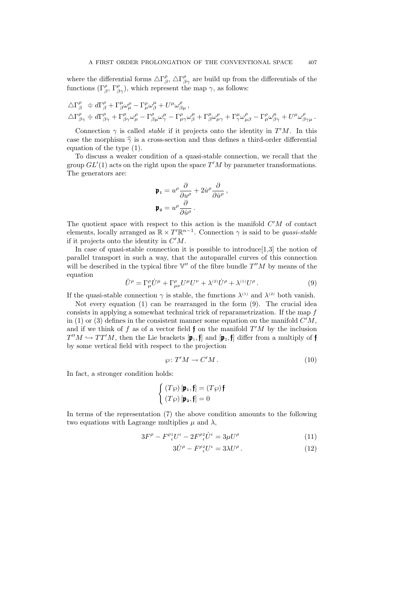where the differential forms  $\Delta\Gamma^{\rho}_{\beta}$ ,  $\Delta\Gamma^{\rho}_{\beta\gamma}$  are build up from the differentials of the functions  $(\Gamma^{\rho}_{\beta}, \Gamma^{\rho}_{\beta\gamma})$ , which represent the map  $\gamma$ , as follows:

$$
\begin{split} \label{eq:delta} \triangle\Gamma^{\rho}_{\beta} & \doteqdot d\Gamma^{\rho}_{\beta}+\Gamma^{\mu}_{\beta}\omega^{\rho}_{\mu}-\Gamma^{\rho}_{\mu}\omega^{\mu}_{\beta}+U^{\mu}\omega^{\rho}_{\beta\mu}\,,\\ \triangle\Gamma^{\rho}_{\beta\gamma} & \doteqdot d\Gamma^{\rho}_{\beta\gamma}+\Gamma^{\mu}_{\beta\gamma}\omega^{\rho}_{\mu}-\Gamma^{\rho}_{\beta\mu}\omega^{\mu}_{\gamma}-\Gamma^{\rho}_{\mu\gamma}\omega^{\mu}_{\beta}+\Gamma^{\mu}_{\beta}\omega^{\rho}_{\mu\gamma}+\Gamma^{\mu}_{\gamma}\omega^{\rho}_{\mu\beta}-\Gamma^{\rho}_{\mu}\omega^{\mu}_{\beta\gamma}+U^{\mu}\omega^{\rho}_{\beta\gamma\mu}\,. \end{split}
$$

Connection  $\gamma$  is called *stable* if it projects onto the identity in  $T'M$ . In this case the morphism  $\hat{\gamma}$  is a cross-section and thus defines a third-order differential equation of the type (1).

To discuss a weaker condition of a quasi-stable connection, we recall that the group  $GL'(1)$  acts on the right upon the space  $T'M$  by parameter transformations. The generators are:

$$
\begin{aligned} \mathbf{p}_1 &= u^{\rho} \frac{\partial}{\partial u^{\rho}} + 2 \dot{u}^{\rho} \frac{\partial}{\partial \dot{u}^{\rho}}, \\ \mathbf{p}_2 &= u^{\rho} \frac{\partial}{\partial \dot{u}^{\rho}}. \end{aligned}
$$

The quotient space with respect to this action is the manifold  $C'M$  of contact elements, locally arranged as  $\mathbb{R} \times T' \mathbb{R}^{n-1}$ . Connection  $\gamma$  is said to be *quasi-stable* if it projects onto the identity in  $C'M$ .

In case of quasi-stable connection it is possible to introduce[1,3] the notion of parallel transport in such a way, that the autoparallel curves of this connection will be described in the typical fibre  $V''$  of the fibre bundle  $T''M$  by means of the equation

$$
\ddot{U}^{\rho} = \Gamma^{\rho}_{\mu} \dot{U}^{\mu} + \Gamma^{\rho}_{\mu\nu} U^{\mu} U^{\nu} + \lambda^{(2)} \dot{U}^{\rho} + \lambda^{(1)} U^{\rho} . \tag{9}
$$

If the quasi-stable connection  $\gamma$  is stable, the functions  $\lambda^{(1)}$  and  $\lambda^{(2)}$  both vanish.

Not every equation (1) can be rearranged in the form (9). The crucial idea consists in applying a somewhat technical trick of reparametrization. If the map  $f$ in (1) or (3) defines in the consistent manner some equation on the manifold  $C'M$ , and if we think of f as of a vector field  $\mathfrak f$  on the manifold  $T'M$  by the inclusion  $T''M \hookrightarrow TT'M$ , then the Lie brackets  $[\mathfrak{p}_1,\mathfrak{f}]$  and  $[\mathfrak{p}_2,\mathfrak{f}]$  differ from a multiply of  $\mathfrak{f}$ by some vertical field with respect to the projection

$$
\wp \colon T'M \to C'M. \tag{10}
$$

In fact, a stronger condition holds:

$$
\begin{cases}\n(T\wp)[\mathbf{p_1}, \mathbf{f}] = (T\wp)\mathbf{f} \\
(T\wp)[\mathbf{p_2}, \mathbf{f}] = 0\n\end{cases}
$$

In terms of the representation (7) the above condition amounts to the following two equations with Lagrange multiplies  $\mu$  and  $\lambda$ ,

$$
3F^{\rho} - F^{\rho_1} U^{\iota} - 2F^{\rho_2} \dot{U}^{\iota} = 3\mu U^{\rho} \tag{11}
$$

$$
3\dot{U}^{\rho} - F^{\rho}{}_{\iota}^{2}U^{\iota} = 3\lambda U^{\rho}.
$$
 (12)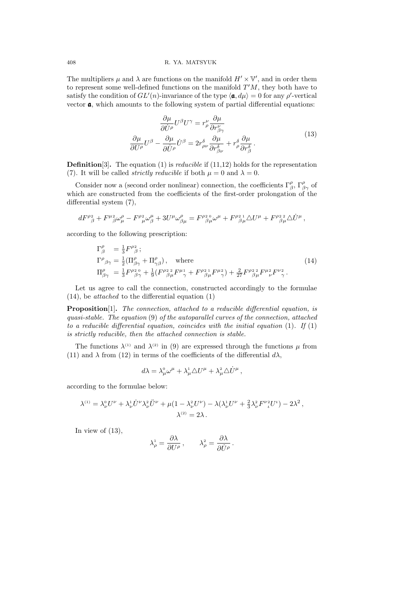### 408 R. YA. MATSYUK

The multipliers  $\mu$  and  $\lambda$  are functions on the manifold  $H' \times V'$ , and in order them to represent some well-defined functions on the manifold  $T'M$ , they both have to satisfy the condition of  $GL(n)$ -invariance of the type  $\langle \mathbf{a}, d\mu \rangle = 0$  for any  $\rho'$ -vertical vector  $a$ , which amounts to the following system of partial differential equations:

$$
\frac{\partial \mu}{\partial \dot{U}^{\rho}} U^{\beta} U^{\gamma} = r^{\nu}_{\rho} \frac{\partial \mu}{\partial r^{\nu}_{\beta \gamma}}
$$
\n
$$
\frac{\partial \mu}{\partial U^{\rho}} U^{\beta} - \frac{\partial \mu}{\partial \dot{U}^{\rho}} \dot{U}^{\beta} = 2r^{\delta}_{\rho \nu} \frac{\partial \mu}{\partial r^{\delta}_{\beta \nu}} + r^{\delta}_{\rho} \frac{\partial \mu}{\partial r^{\delta}_{\beta}}.
$$
\n(13)

**Definition**[3]. The equation (1) is *reducible* if  $(11,12)$  holds for the representation (7). It will be called *strictly reducible* if both  $\mu = 0$  and  $\lambda = 0$ .

Consider now a (second order nonlinear) connection, the coefficients  $\Gamma^{\rho}_{\beta}$ ,  $\Gamma^{\rho}_{\beta\gamma}$  of which are constructed from the coefficients of the first-order prolongation of the differential system (7),

$$
dF^{\rho}{}^2_{\beta}+F^{\mu}{}^2_{\beta}\omega^{\rho}_{\mu}-F^{\rho}{}^2_{\mu}\omega^{\mu}_{\beta}+3U^{\mu}\omega^{\rho}_{\beta\mu}=F^{\rho}{}^2_{\beta\mu}\omega^{\mu}+F^{\rho}{}^2_{\beta\mu}\triangle U^{\mu}+F^{\rho}{}^2_{\beta\mu}\triangle \dot{U}^{\mu}\,,
$$

according to the following prescription:

$$
\Gamma^{\rho}_{\beta} = \frac{1}{3} F^{\rho 2}_{\beta};
$$
\n
$$
\Gamma^{\rho}_{\beta\gamma} = \frac{1}{2} (\Pi^{\rho}_{\beta\gamma} + \Pi^{\rho}_{\gamma\beta}), \text{ where}
$$
\n
$$
\Pi^{\rho}_{\beta\gamma} = \frac{1}{3} F^{\rho 20}_{\beta\gamma} + \frac{1}{9} (F^{\rho 22}_{\beta\mu} F^{\mu 1}_{\gamma} + F^{\rho 21}_{\beta\mu} F^{\mu 2}_{\gamma}) + \frac{2}{27} F^{\rho 22}_{\beta\mu} F^{\mu 2}_{\nu} F^{\nu 2}_{\gamma}.
$$
\n(14)

Let us agree to call the connection, constructed accordingly to the formulae  $(14)$ , be *attached* to the differential equation  $(1)$ 

**Proposition**[1]. The connection, attached to a reducible differential equation, is quasi-stable. The equation (9) of the autoparallel curves of the connection, attached to a reducible differential equation, coincides with the initial equation  $(1)$ . If  $(1)$ is strictly reducible, then the attached connection is stable.

The functions  $\lambda^{(1)}$  and  $\lambda^{(2)}$  in (9) are expressed through the functions  $\mu$  from (11) and  $\lambda$  from (12) in terms of the coefficients of the differential  $d\lambda$ ,

$$
d\lambda = \lambda^0_\mu \omega^\mu + \lambda^1_\mu \triangle U^\mu + \lambda^2_\mu \triangle \dot{U}^\mu ,
$$

according to the formulae below:

$$
\lambda^{(1)} = \lambda_{\nu}^{0} U^{\nu} + \lambda_{\nu}^{1} \dot{U}^{\nu} \lambda_{\nu}^{2} \ddot{U}^{\nu} + \mu (1 - \lambda_{\nu}^{2} U^{\nu}) - \lambda (\lambda_{\nu}^{1} U^{\nu} + \frac{2}{3} \lambda_{\nu}^{2} F^{\nu}{}_{i}^{2} U^{\nu}) - 2 \lambda^{2},
$$
  

$$
\lambda^{(2)} = 2 \lambda.
$$

In view of  $(13)$ ,

$$
\lambda_{\rho}^{1} = \frac{\partial \lambda}{\partial U^{\rho}} , \qquad \lambda_{\rho}^{2} = \frac{\partial \lambda}{\partial \dot{U}^{\rho}} .
$$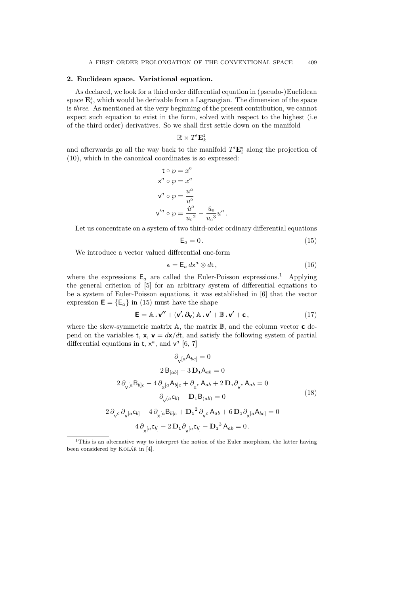## 2. Euclidean space. Variational equation.

As declared, we look for a third order differential equation in (pseudo-)Euclidean space  $\mathbf{E}_i^3$ , which would be derivable from a Lagrangian. The dimension of the space is three. As mentioned at the very beginning of the present contribution, we cannot expect such equation to exist in the form, solved with respect to the highest (i.e of the third order) derivatives. So we shall first settle down on the manifold

$$
\mathbb{R}\times T'\mathbf{E}_k^2
$$

and afterwards go all the way back to the manifold  $T' \mathbf{E}_{i}^{3}$  along the projection of (10), which in the canonical coordinates is so expressed:

$$
\begin{aligned}\n\mathbf{t} \circ \wp &= x^0 \\
\mathbf{x}^a \circ \wp &= x^a \\
\mathbf{v}^a \circ \wp &= \frac{u^a}{u^0} \\
\mathbf{v}'^a \circ \wp &= \frac{\dot{u}^a}{u_0^2} - \frac{\dot{u}_0}{u_0^3} u^a\n\end{aligned}
$$

Let us concentrate on a system of two third-order ordinary differential equations

$$
\mathsf{E}_a = 0.\tag{15}
$$

We introduce a vector valued differential one-form

$$
\epsilon = \mathsf{E}_a \, d\mathsf{x}^a \otimes d\mathsf{t} \,,\tag{16}
$$

where the expressions  $E_a$  are called the Euler-Poisson expressions.<sup>1</sup> Applying the general criterion of [5] for an arbitrary system of differential equations to be a system of Euler-Poisson equations, it was established in [6] that the vector expression  $\mathbf{E} = \{ \mathsf{E}_a \}$  in (15) must have the shape

$$
\mathbf{E} = \mathbb{A} \cdot \mathbf{v''} + (\mathbf{v'} \cdot \partial_{\mathbf{v}}) \mathbb{A} \cdot \mathbf{v'} + \mathbb{B} \cdot \mathbf{v'} + \mathbf{c}, \qquad (17)
$$

.

where the skew-symmetric matrix  $A$ , the matrix  $B$ , and the column vector  $c$  depend on the variables t,  $x$ ,  $v = dx/dt$ , and satisfy the following system of partial differential equations in  $t, x^a$ , and  $v^a$  [6, 7]

$$
\partial_{\mathbf{v}}[a\mathbf{A}_{bc}] = 0
$$
  
\n
$$
2 \mathbf{B}_{[ab]} - 3 \mathbf{D}_1 \mathbf{A}_{ab} = 0
$$
  
\n
$$
2 \partial_{\mathbf{v}}[a\mathbf{B}_{b]c} - 4 \partial_{\mathbf{x}}[a\mathbf{A}_{b]c} + \partial_{\mathbf{x}}c \mathbf{A}_{ab} + 2 \mathbf{D}_1 \partial_{\mathbf{v}}c \mathbf{A}_{ab} = 0
$$
  
\n
$$
\partial_{\mathbf{v}}(a\mathbf{c}_{b)} - \mathbf{D}_1 \mathbf{B}_{(ab)} = 0
$$
  
\n
$$
2 \partial_{\mathbf{v}}c \partial_{\mathbf{v}}[a\mathbf{c}_{b]} - 4 \partial_{\mathbf{x}}[a\mathbf{B}_{b]c} + \mathbf{D}_1^2 \partial_{\mathbf{v}}c \mathbf{A}_{ab} + 6 \mathbf{D}_1 \partial_{\mathbf{x}}[a\mathbf{A}_{bc}] = 0
$$
  
\n
$$
4 \partial_{\mathbf{x}}[a\mathbf{c}_{b]} - 2 \mathbf{D}_1 \partial_{\mathbf{v}}[a\mathbf{c}_{b]} - \mathbf{D}_1^3 \mathbf{A}_{ab} = 0.
$$
  
\n(18)

<sup>1</sup>This is an alternative way to interpret the notion of the Euler morphism, the latter having been considered by KOLÁŘ in  $[4]$ .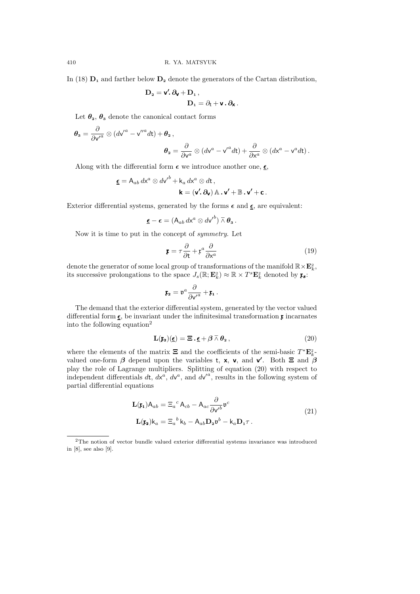In (18)  $D_1$  and farther below  $D_2$  denote the generators of the Cartan distribution,

$$
\begin{aligned} D_2 &= \textbf{v}'\!\!\cdot \partial_{\textbf{V}} + D_1\,, \\ D_1 &= \partial_t + \textbf{v}\cdot \partial_{\textbf{X}}\,. \end{aligned}
$$

Let  $\theta_2$ ,  $\theta_3$  denote the canonical contact forms

$$
\theta_{\mathbf{3}} = \frac{\partial}{\partial v'^a} \otimes (d v'^a - v''^a dt) + \theta_{\mathbf{2}} ,
$$
  

$$
\theta_{\mathbf{2}} = \frac{\partial}{\partial v^a} \otimes (d v^a - v'^a dt) + \frac{\partial}{\partial x^a} \otimes (d x^a - v^a dt) .
$$

Along with the differential form  $\epsilon$  we introduce another one,  $\epsilon$ ,

$$
\underline{\epsilon} = A_{ab} dx^a \otimes d\mathsf{v'}^b + \mathsf{k}_a dx^a \otimes dt ,
$$

$$
\mathsf{k} = (\mathsf{v'}.\partial_{\mathsf{v}}) \mathbb{A} \cdot \mathsf{v'} + \mathbb{B} \cdot \mathsf{v'} + \mathsf{c} .
$$

Exterior differential systems, generated by the forms  $\epsilon$  and  $\underline{\epsilon}$ , are equivalent:

$$
\underline{\boldsymbol{\epsilon}} - \boldsymbol{\epsilon} = (\mathsf{A}_{ab} \, d\mathsf{x}^a \otimes d\mathsf{v}'^b) \bar{\wedge} \boldsymbol{\theta}_\mathsf{a}.
$$

Now it is time to put in the concept of symmetry. Let

$$
\mathbf{r} = \tau \frac{\partial}{\partial \mathbf{t}} + \mathbf{r}^a \frac{\partial}{\partial \mathbf{x}^a}
$$
 (19)

denote the generator of some local group of transformations of the manifold  $\mathbb{R}\times\mathbf{E}_k^2$ , its successive prolongations to the space  $J_s(\mathbb{R}; \mathbf{E}_k^2) \approx \mathbb{R} \times T^s \mathbf{E}_k^2$  denoted by  $\mathbf{F}_s$ :

$$
\mathfrak{x}_2 = \mathfrak{v}^a \frac{\partial}{\partial \mathsf{v'}^a} + \mathfrak{x}_1 \, .
$$

The demand that the exterior differential system, generated by the vector valued differential form  $\underline{\epsilon}$ , be invariant under the infinitesimal transformation  $\underline{\mathfrak{r}}$  incarnates into the following equation<sup>2</sup>

$$
\mathbf{L}(\mathbf{r}_2)(\underline{\epsilon}) = \mathbf{\Xi} \cdot \underline{\epsilon} + \beta \bar{\wedge} \theta_2, \qquad (20)
$$

where the elements of the matrix  $\Xi$  and the coefficients of the semi-basic  $T^* \mathbf{E}_k^2$ . valued one-form  $\beta$  depend upon the variables t, x, v, and v'. Both  $\Xi$  and  $\beta$ play the role of Lagrange multipliers. Splitting of equation (20) with respect to independent differentials  $d\mathbf{t}$ ,  $d\mathbf{x}^a$ ,  $d\mathbf{v}^a$ , and  $d\mathbf{v}^{\prime a}$ , results in the following system of partial differential equations

$$
\mathbf{L}(\mathbf{r}_{1})\mathbf{A}_{ab} = \Xi_{a}{}^{c}\mathbf{A}_{cb} - \mathbf{A}_{ac}\frac{\partial}{\partial v^{\prime}}\mathbf{v}^{c}
$$
\n
$$
\mathbf{L}(\mathbf{r}_{2})\mathbf{k}_{a} = \Xi_{a}{}^{b}\mathbf{k}_{b} - \mathbf{A}_{ab}\mathbf{D}_{2}\mathbf{v}^{b} - \mathbf{k}_{a}\mathbf{D}_{1}\tau.
$$
\n(21)

<sup>2</sup>The notion of vector bundle valued exterior differential systems invariance was introduced in [8], see also [9].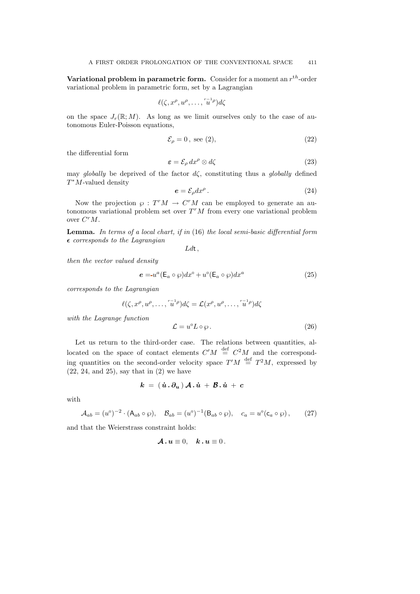Variational problem in parametric form. Consider for a moment an  $r^{th}$ -order variational problem in parametric form, set by a Lagrangian

$$
\ell(\zeta, x^{\rho}, u^{\rho}, \ldots, \lceil x^{1 \rho} \rceil d\zeta)
$$

on the space  $J_r(\mathbb{R}; M)$ . As long as we limit ourselves only to the case of autonomous Euler-Poisson equations,

$$
\mathcal{E}_{\rho} = 0, \text{ see (2)},\tag{22}
$$

the differential form

$$
\varepsilon = \mathcal{E}_{\rho} dx^{\rho} \otimes d\zeta \tag{23}
$$

may globally be deprived of the factor  $d\zeta$ , constituting thus a globally defined  $T^*M$ -valued density

$$
e = \mathcal{E}_{\rho} dx^{\rho} \,. \tag{24}
$$

Now the projection  $\varphi : T^r M \to C^r M$  can be employed to generate an autonomous variational problem set over  $T^{r}M$  from every one variational problem over  $C^rM$ .

**Lemma.** In terms of a local chart, if in  $(16)$  the local semi-basic differential form  $\epsilon$  corresponds to the Lagrangian

 $Ldt$ ,

then the vector valued density

$$
e = -u^{a}(\mathsf{E}_{a} \circ \wp)dx^{0} + u^{0}(\mathsf{E}_{a} \circ \wp)dx^{a}
$$
\n
$$
(25)
$$

corresponds to the Lagrangian

$$
\ell(\zeta, x^{\rho}, u^{\rho}, \dots, \overline{u}^{1-\rho})d\zeta = \mathcal{L}(x^{\rho}, u^{\rho}, \dots, \overline{u}^{1-\rho})d\zeta
$$

with the Lagrange function

$$
\mathcal{L} = u^0 L \circ \wp. \tag{26}
$$

Let us return to the third-order case. The relations between quantities, allocated on the space of contact elements  $C'M \stackrel{\text{def}}{=} C^2M$  and the corresponding quantities on the second-order velocity space  $T'M \stackrel{\text{def}}{=} T^2M$ , expressed by (22, 24, and 25), say that in (2) we have

$$
k \,=\, (\, \dot{u} \,.\, \partial_u \,)\, {\cal A} \,.\, \dot{u} \,+\, {\cal B} \,.\, \dot{u} \,+\, c
$$

with

$$
\mathcal{A}_{ab} = (u^0)^{-2} \cdot (\mathsf{A}_{ab} \circ \wp), \quad \mathcal{B}_{ab} = (u^0)^{-1} (\mathsf{B}_{ab} \circ \wp), \quad c_a = u^0 (\mathsf{c}_a \circ \wp), \tag{27}
$$

and that the Weierstrass constraint holds:

$$
\mathbf{A} \cdot \mathbf{u} \equiv 0, \quad \mathbf{k} \cdot \mathbf{u} \equiv 0 \, .
$$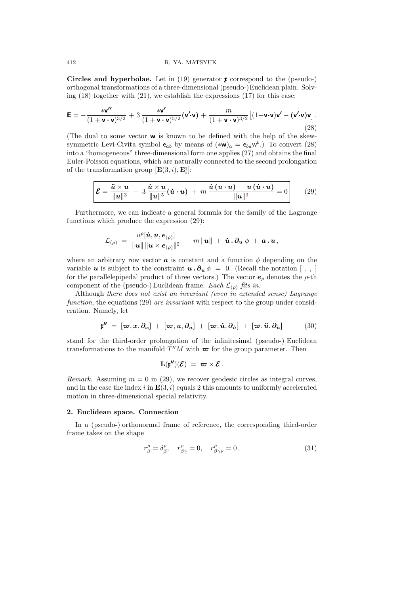#### 412 R. YA. MATSYUK

Circles and hyperbolae. Let in  $(19)$  generator  $\mathfrak x$  correspond to the (pseudo-) orthogonal transformations of a three-dimensional (pseudo-)Euclidean plain. Solving  $(18)$  together with  $(21)$ , we establish the expressions  $(17)$  for this case:

$$
\mathbf{E} = -\frac{\mathbf{v}\mathbf{v}^{\prime\prime}}{(1+\mathbf{v}\cdot\mathbf{v})^{3/2}} + 3\,\frac{\mathbf{v}\mathbf{v}^{\prime}}{(1+\mathbf{v}\cdot\mathbf{v})^{5/2}}(\mathbf{v}\cdot\mathbf{v}) + \frac{m}{(1+\mathbf{v}\cdot\mathbf{v})^{3/2}}\big[(1+\mathbf{v}\cdot\mathbf{v})\mathbf{v}^{\prime} - (\mathbf{v}\cdot\mathbf{v})\mathbf{v}\big].
$$
\n(28)

(The dual to some vector w is known to be defined with the help of the skewsymmetric Levi-Civita symbol  $e_{ab}$  by means of  $(*w)_a = e_{ba}w^b$ .) To convert (28) into a "homogeneous" three-dimensional form one applies (27) and obtains the final Euler-Poisson equations, which are naturally connected to the second prolongation of the transformation group  $[\mathbf{E}(3,i), \mathbf{E}_i^3]$ :

$$
\mathcal{E} = \frac{\ddot{\boldsymbol{u}} \times \boldsymbol{u}}{\|\boldsymbol{u}\|^3} - 3\,\frac{\dot{\boldsymbol{u}} \times \boldsymbol{u}}{\|\boldsymbol{u}\|^5}(\dot{\boldsymbol{u}} \cdot \boldsymbol{u}) + m\,\frac{\dot{\boldsymbol{u}}\left(\boldsymbol{u} \cdot \boldsymbol{u}\right) - \boldsymbol{u}\left(\dot{\boldsymbol{u}} \cdot \boldsymbol{u}\right)}{\|\boldsymbol{u}\|^3} = 0 \qquad (29)
$$

Furthermore, we can indicate a general formula for the family of the Lagrange functions which produce the expression (29):

$$
\mathcal{L}_{(\rho)} \;=\; \frac{u^{\rho}[\dot{\bm{u}}, \bm{u}, \bm{e}_{(\rho)}]}{\|\bm{u}\|\,\|\bm{u}\times\bm{e}_{(\rho)}\|^2} \;-\; m\,\|\bm{u}\| \;+\; \dot{\bm{u}}\cdot \bm{\partial}_{\bm{u}} \;\phi \;+\; \bm{a}\cdot\bm{u}\,,
$$

where an arbitrary row vector  $\boldsymbol{a}$  is constant and a function  $\phi$  depending on the variable u is subject to the constraint  $u \cdot \partial_u \phi = 0$ . (Recall the notation [,,] for the parallelepipedal product of three vectors.) The vector  $e_{\rho}$  denotes the  $\rho$ -th component of the (pseudo-) Euclidean frame. Each  $\mathcal{L}_{(\rho)}$  fits in.

Although there does not exist an invariant (even in extended sense) Lagrange function, the equations (29) are invariant with respect to the group under consideration. Namely, let

$$
\mathbf{r}'' = [\boldsymbol{\varpi}, \boldsymbol{x}, \partial_{\boldsymbol{x}}] + [\boldsymbol{\varpi}, \boldsymbol{u}, \partial_{\boldsymbol{u}}] + [\boldsymbol{\varpi}, \boldsymbol{\dot{u}}, \partial_{\boldsymbol{\dot{u}}}] + [\boldsymbol{\varpi}, \boldsymbol{\ddot{u}}, \partial_{\boldsymbol{\ddot{u}}}] \qquad (30)
$$

stand for the third-order prolongation of the infinitesimal (pseudo-) Euclidean transformations to the manifold  $T''M$  with  $\varpi$  for the group parameter. Then

$$
\mathbf{L}(\mathfrak{x}'')(\mathcal{E}) \;=\; \varpi \times \mathcal{E} \,.
$$

Remark. Assuming  $m = 0$  in (29), we recover geodesic circles as integral curves, and in the case the index i in  $\mathbf{E}(3, i)$  equals 2 this amounts to uniformly accelerated motion in three-dimensional special relativity.

## 2. Euclidean space. Connection

In a (pseudo-) orthonormal frame of reference, the corresponding third-order frame takes on the shape

$$
r^{\rho}_{\beta} = \delta^{\rho}_{\beta}, \quad r^{\rho}_{\beta\gamma} = 0, \quad r^{\rho}_{\beta\gamma\nu} = 0, \tag{31}
$$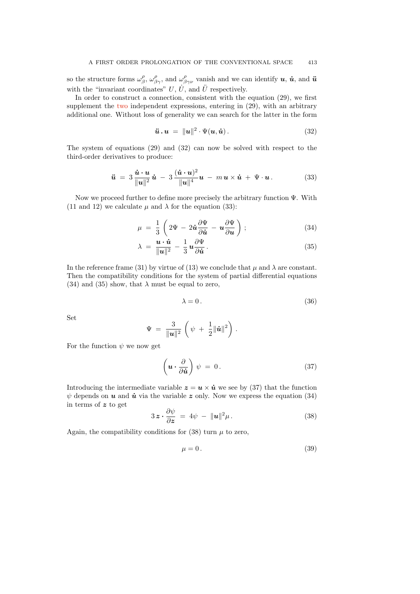so the structure forms  $\omega_{\beta}^{\rho}$ ,  $\omega_{\beta\gamma}^{\rho}$ , and  $\omega_{\beta\gamma\nu}^{\rho}$  vanish and we can identify  $u, \dot{u}$ , and  $\ddot{u}$ with the "invariant coordinates"  $U, \dot{U}$ , and  $\ddot{U}$  respectively.

In order to construct a connection, consistent with the equation (29), we first supplement the two independent expressions, entering in  $(29)$ , with an arbitrary additional one. Without loss of generality we can search for the latter in the form

$$
\ddot{u} \cdot u = \|u\|^2 \cdot \Psi(u, \dot{u}). \tag{32}
$$

The system of equations (29) and (32) can now be solved with respect to the third-order derivatives to produce:

$$
\ddot{\mathbf{u}} = 3 \frac{\dot{\mathbf{u}} \cdot \mathbf{u}}{\Vert \mathbf{u} \Vert^2} \dot{\mathbf{u}} - 3 \frac{(\dot{\mathbf{u}} \cdot \mathbf{u})^2}{\Vert \mathbf{u} \Vert^4} \mathbf{u} - m \mathbf{u} \times \dot{\mathbf{u}} + \Psi \cdot \mathbf{u}.
$$
 (33)

Now we proceed further to define more precisely the arbitrary function Ψ. With (11 and 12) we calculate  $\mu$  and  $\lambda$  for the equation (33):

$$
\mu = \frac{1}{3} \left( 2\Psi - 2\dot{u} \frac{\partial \Psi}{\partial \dot{u}} - u \frac{\partial \Psi}{\partial u} \right); \tag{34}
$$

$$
\lambda = \frac{\mathbf{u} \cdot \dot{\mathbf{u}}}{\|\mathbf{u}\|^2} - \frac{1}{3} \mathbf{u} \frac{\partial \Psi}{\partial \dot{\mathbf{u}}}.
$$
 (35)

In the reference frame (31) by virtue of (13) we conclude that  $\mu$  and  $\lambda$  are constant. Then the compatibility conditions for the system of partial differential equations (34) and (35) show, that  $\lambda$  must be equal to zero,

$$
\lambda = 0. \tag{36}
$$

Set

$$
\Psi = \frac{3}{\|\mathbf{u}\|^2} \left( \psi + \frac{1}{2} \|\dot{\mathbf{u}}\|^2 \right).
$$

For the function  $\psi$  we now get

$$
\left(\mathbf{u}\cdot\frac{\partial}{\partial\dot{\mathbf{u}}}\right)\psi = 0.
$$
\n(37)

Introducing the intermediate variable  $z = u \times \dot{u}$  we see by (37) that the function  $\psi$  depends on **u** and **u** via the variable z only. Now we express the equation (34) in terms of z to get

$$
3\mathbf{z} \cdot \frac{\partial \psi}{\partial \mathbf{z}} = 4\psi - \|\mathbf{u}\|^2 \mu. \tag{38}
$$

Again, the compatibility conditions for  $(38)$  turn  $\mu$  to zero,

$$
\mu = 0. \tag{39}
$$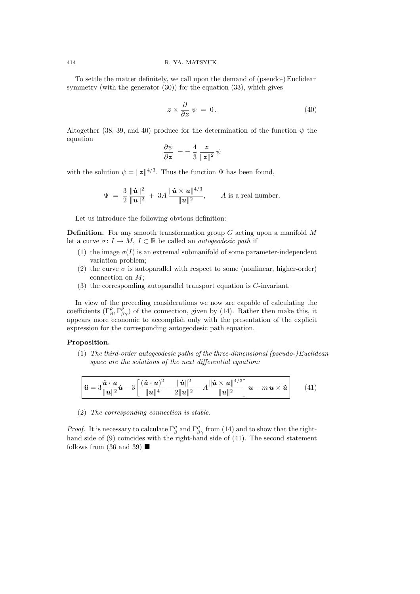To settle the matter definitely, we call upon the demand of (pseudo-)Euclidean symmetry (with the generator (30)) for the equation (33), which gives

$$
z \times \frac{\partial}{\partial z} \psi = 0. \tag{40}
$$

Altogether (38, 39, and 40) produce for the determination of the function  $\psi$  the equation

$$
\frac{\partial \psi}{\partial \boldsymbol{z}} \ = = \frac{4}{3} \, \frac{\boldsymbol{z}}{\|\boldsymbol{z}\|^2} \, \psi
$$

with the solution  $\psi = ||z||^{4/3}$ . Thus the function  $\Psi$  has been found,

$$
\Psi = \frac{3}{2} \frac{\|\dot{\bm{u}}\|^2}{\|\bm{u}\|^2} + 3A \frac{\|\dot{\bm{u}} \times \bm{u}\|^{4/3}}{\|\bm{u}\|^2}, \qquad A \text{ is a real number.}
$$

Let us introduce the following obvious definition:

**Definition.** For any smooth transformation group  $G$  acting upon a manifold  $M$ let a curve  $\sigma: I \to M$ ,  $I \subset \mathbb{R}$  be called an *autogeodesic path* if

- (1) the image  $\sigma(I)$  is an extremal submanifold of some parameter-independent variation problem;
- (2) the curve  $\sigma$  is autoparallel with respect to some (nonlinear, higher-order) connection on  $M$ ;
- (3) the corresponding autoparallel transport equation is G-invariant.

In view of the preceding considerations we now are capable of calculating the coefficients  $(\Gamma^{\rho}_{\beta}, \Gamma^{\rho}_{\beta\gamma})$  of the connection, given by (14). Rather then make this, it appears more economic to accomplish only with the presentation of the explicit expression for the corresponding autogeodesic path equation.

# Proposition.

(1) The third-order autogeodesic paths of the three-dimensional (pseudo-)Euclidean space are the solutions of the next differential equation:

$$
\hat{\mathbf{u}} = 3\frac{\dot{\mathbf{u}} \cdot \mathbf{u}}{\|\mathbf{u}\|^2} \dot{\mathbf{u}} - 3 \left[ \frac{(\dot{\mathbf{u}} \cdot \mathbf{u})^2}{\|\mathbf{u}\|^4} - \frac{\|\dot{\mathbf{u}}\|^2}{2\|\mathbf{u}\|^2} - A \frac{\|\dot{\mathbf{u}} \times \mathbf{u}\|^{4/3}}{\|\mathbf{u}\|^2} \right] \mathbf{u} - m \mathbf{u} \times \dot{\mathbf{u}} \qquad (41)
$$

(2) The corresponding connection is stable.

*Proof.* It is necessary to calculate  $\Gamma^{\rho}_{\beta}$  and  $\Gamma^{\rho}_{\beta\gamma}$  from (14) and to show that the righthand side of (9) coincides with the right-hand side of (41). The second statement follows from (36 and 39)  $\blacksquare$